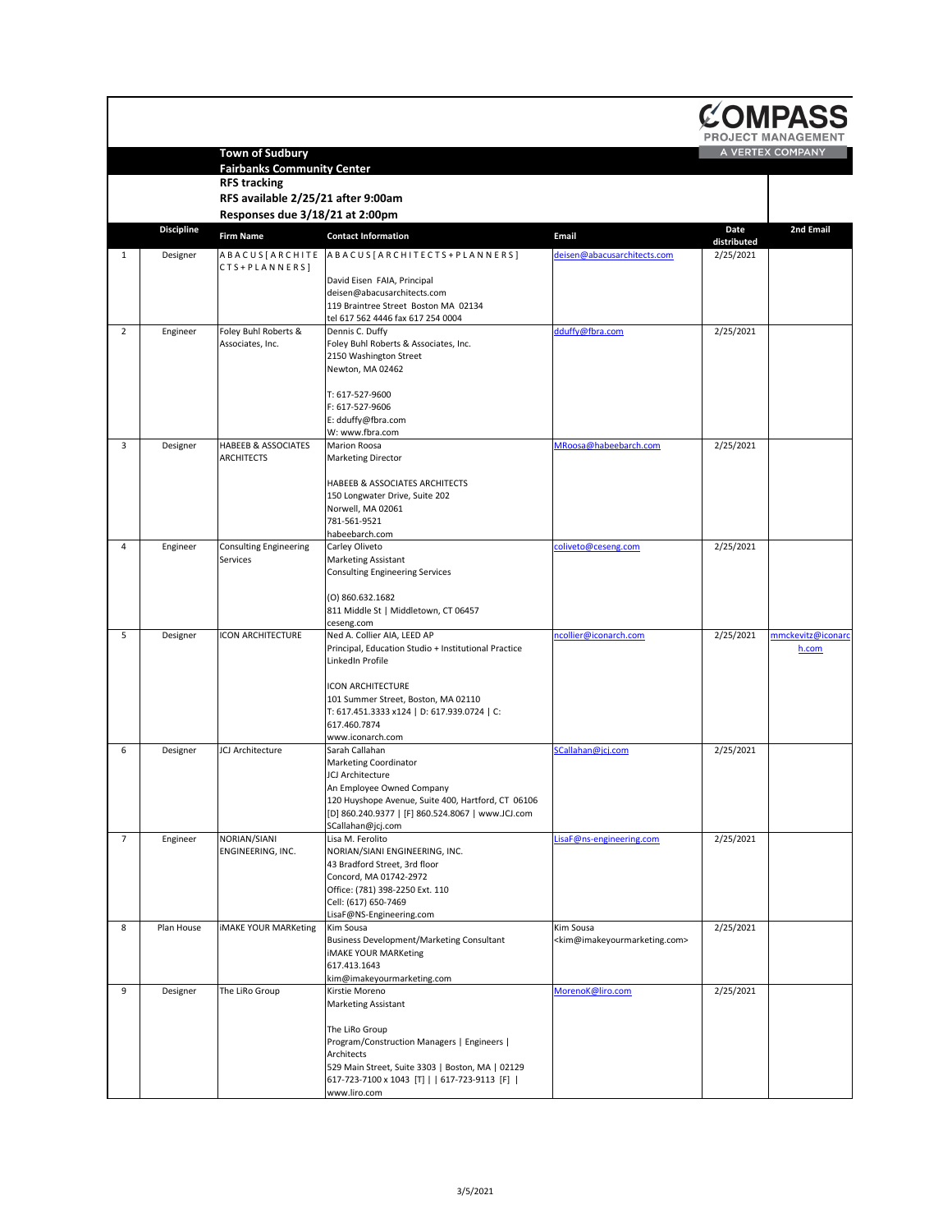|                 |                   |                                                                                                                          |                                                                                                                                                                                                                                                               |                                                                        |                          | COMPASS<br><b>PROJECT MANAGEMENT</b> |
|-----------------|-------------------|--------------------------------------------------------------------------------------------------------------------------|---------------------------------------------------------------------------------------------------------------------------------------------------------------------------------------------------------------------------------------------------------------|------------------------------------------------------------------------|--------------------------|--------------------------------------|
|                 |                   | <b>Town of Sudbury</b><br><b>Fairbanks Community Center</b><br><b>RFS tracking</b><br>RFS available 2/25/21 after 9:00am |                                                                                                                                                                                                                                                               |                                                                        |                          | A VERTEX COMPANY                     |
|                 |                   | Responses due 3/18/21 at 2:00pm                                                                                          |                                                                                                                                                                                                                                                               |                                                                        |                          |                                      |
|                 | <b>Discipline</b> | <b>Firm Name</b>                                                                                                         | <b>Contact Information</b>                                                                                                                                                                                                                                    | <b>Email</b>                                                           | <b>Date</b>              | <b>2nd Email</b>                     |
| $\mathbf{1}$    | Designer          | ABACUS [ARCHITE<br>$CTS + PLAN NERS$                                                                                     | ABACUS [ARCHITECTS + PLANNERS]                                                                                                                                                                                                                                | deisen@abacusarchitects.com                                            | distributed<br>2/25/2021 |                                      |
|                 |                   |                                                                                                                          | David Eisen FAIA, Principal<br>deisen@abacusarchitects.com<br>119 Braintree Street Boston MA 02134<br>tel 617 562 4446 fax 617 254 0004                                                                                                                       |                                                                        |                          |                                      |
| $\overline{2}$  | Engineer          | Foley Buhl Roberts &<br>Associates, Inc.                                                                                 | Dennis C. Duffy<br>Foley Buhl Roberts & Associates, Inc.<br>2150 Washington Street<br>Newton, MA 02462<br>T: 617-527-9600                                                                                                                                     | dduffy@fbra.com                                                        | 2/25/2021                |                                      |
|                 |                   |                                                                                                                          | F: 617-527-9606<br>E: dduffy@fbra.com<br>W: www.fbra.com                                                                                                                                                                                                      |                                                                        |                          |                                      |
| 3               | Designer          | <b>HABEEB &amp; ASSOCIATES</b><br><b>ARCHITECTS</b>                                                                      | <b>Marion Roosa</b><br><b>Marketing Director</b>                                                                                                                                                                                                              | MRoosa@habeebarch.com                                                  | 2/25/2021                |                                      |
|                 |                   |                                                                                                                          | <b>HABEEB &amp; ASSOCIATES ARCHITECTS</b><br>150 Longwater Drive, Suite 202<br>Norwell, MA 02061<br>781-561-9521<br>habeebarch.com                                                                                                                            |                                                                        |                          |                                      |
| 4               | Engineer          | <b>Consulting Engineering</b>                                                                                            | Carley Oliveto                                                                                                                                                                                                                                                | coliveto@ceseng.com                                                    | 2/25/2021                |                                      |
|                 |                   | Services                                                                                                                 | <b>Marketing Assistant</b><br><b>Consulting Engineering Services</b><br>(0) 860.632.1682<br>811 Middle St   Middletown, CT 06457<br>ceseng.com                                                                                                                |                                                                        |                          |                                      |
| 5               | Designer          | ICON ARCHITECTURE                                                                                                        | Ned A. Collier AIA, LEED AP<br>Principal, Education Studio + Institutional Practice<br>LinkedIn Profile<br><b>ICON ARCHITECTURE</b><br>101 Summer Street, Boston, MA 02110<br>T: 617.451.3333 x124   D: 617.939.0724   C:<br>617.460.7874<br>www.iconarch.com | ncollier@iconarch.com                                                  | 2/25/2021                | mmckevitz@iconard<br>h.com           |
| 6               | Designer          | JCJ Architecture                                                                                                         | Sarah Callahan<br><b>Marketing Coordinator</b><br><b>JCJ Architecture</b><br>An Employee Owned Company<br>120 Huyshope Avenue, Suite 400, Hartford, CT 06106<br>[D] 860.240.9377   [F] 860.524.8067   www.JCJ.com                                             | SCallahan@jcj.com                                                      | 2/25/2021                |                                      |
| $7\overline{ }$ | Engineer          | NORIAN/SIANI<br>ENGINEERING, INC.                                                                                        | SCallahan@jcj.com<br>Lisa M. Ferolito<br>NORIAN/SIANI ENGINEERING, INC.<br>43 Bradford Street, 3rd floor<br>Concord, MA 01742-2972<br>Office: (781) 398-2250 Ext. 110<br>Cell: (617) 650-7469<br>LisaF@NS-Engineering.com                                     | LisaF@ns-engineering.com                                               | 2/25/2021                |                                      |
| 8               | Plan House        | <b>IMAKE YOUR MARKeting</b>                                                                                              | Kim Sousa<br><b>Business Development/Marketing Consultant</b><br><b>IMAKE YOUR MARKeting</b><br>617.413.1643<br>kim@imakeyourmarketing.com                                                                                                                    | Kim Sousa<br><kim@imakeyourmarketing.com></kim@imakeyourmarketing.com> | 2/25/2021                |                                      |
| 9               | Designer          | The LiRo Group                                                                                                           | Kirstie Moreno<br><b>Marketing Assistant</b><br>The LiRo Group<br>Program/Construction Managers   Engineers  <br>Architects<br>529 Main Street, Suite 3303   Boston, MA   02129<br>617-723-7100 x 1043 [T]   617-723-9113 [F]  <br>www.liro.com               | MorenoK@liro.com                                                       | 2/25/2021                |                                      |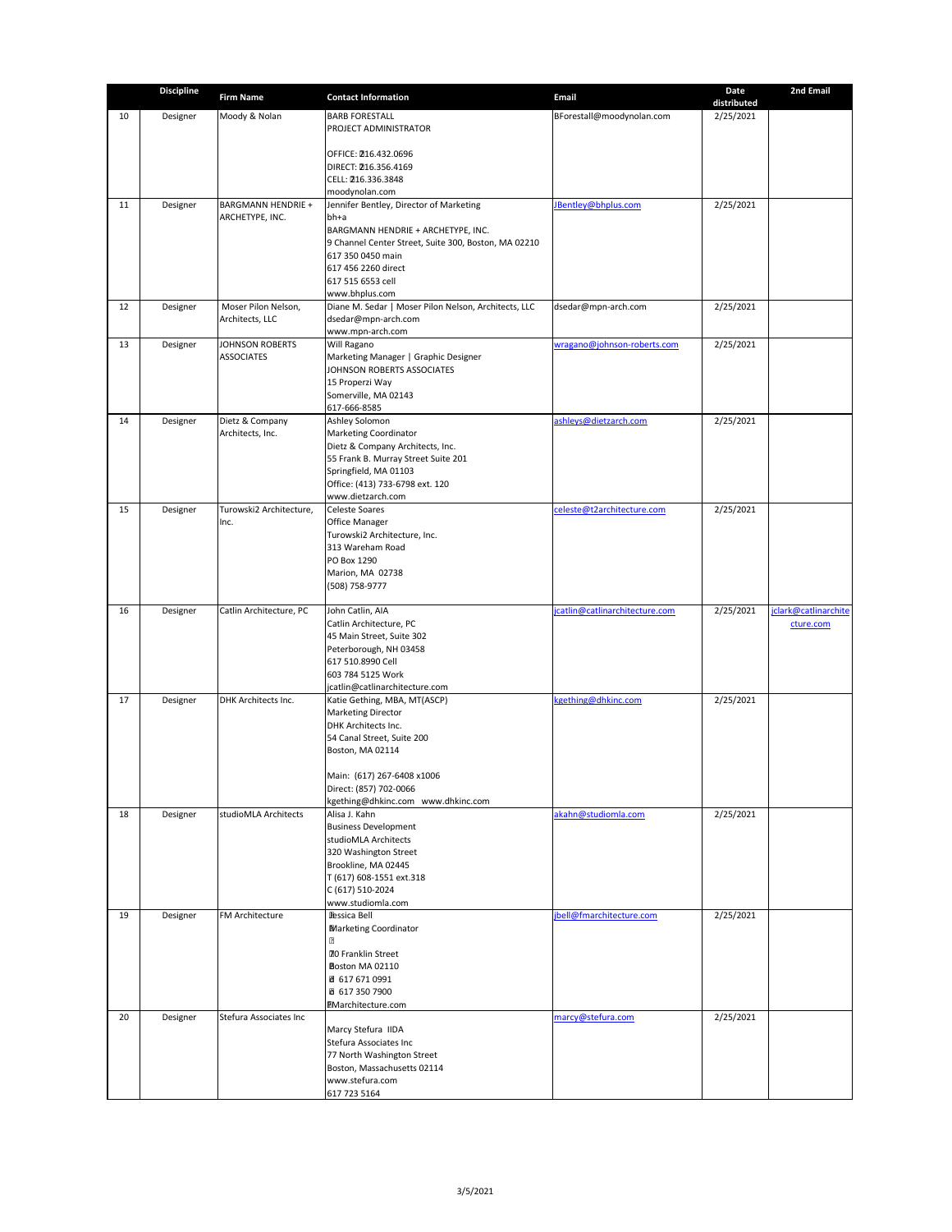|    | <b>Discipline</b> | <b>Firm Name</b>                            | <b>Contact Information</b>                                | <b>Email</b>                   | <b>Date</b> | 2nd Email            |
|----|-------------------|---------------------------------------------|-----------------------------------------------------------|--------------------------------|-------------|----------------------|
| 10 |                   | Moody & Nolan                               | <b>BARB FORESTALL</b>                                     |                                | distributed |                      |
|    | Designer          |                                             | <b>PROJECT ADMINISTRATOR</b>                              | BForestall@moodynolan.com      | 2/25/2021   |                      |
|    |                   |                                             |                                                           |                                |             |                      |
|    |                   |                                             | OFFICE: 216.432.0696                                      |                                |             |                      |
|    |                   |                                             | DIRECT: 216.356.4169                                      |                                |             |                      |
|    |                   |                                             | CELL: 216.336.3848                                        |                                |             |                      |
| 11 | Designer          | <b>BARGMANN HENDRIE +</b>                   | moodynolan.com<br>Jennifer Bentley, Director of Marketing | JBentley@bhplus.com            | 2/25/2021   |                      |
|    |                   | ARCHETYPE, INC.                             | $bh+a$                                                    |                                |             |                      |
|    |                   |                                             | BARGMANN HENDRIE + ARCHETYPE, INC.                        |                                |             |                      |
|    |                   |                                             | 9 Channel Center Street, Suite 300, Boston, MA 02210      |                                |             |                      |
|    |                   |                                             | 617 350 0450 main<br>617 456 2260 direct                  |                                |             |                      |
|    |                   |                                             | 617 515 6553 cell                                         |                                |             |                      |
|    |                   |                                             | www.bhplus.com                                            |                                |             |                      |
| 12 | Designer          | Moser Pilon Nelson,                         | Diane M. Sedar   Moser Pilon Nelson, Architects, LLC      | dsedar@mpn-arch.com            | 2/25/2021   |                      |
|    |                   | Architects, LLC                             | dsedar@mpn-arch.com                                       |                                |             |                      |
|    |                   |                                             | www.mpn-arch.com                                          |                                |             |                      |
| 13 | Designer          | <b>JOHNSON ROBERTS</b><br><b>ASSOCIATES</b> | Will Ragano<br>Marketing Manager   Graphic Designer       | wragano@johnson-roberts.com    | 2/25/2021   |                      |
|    |                   |                                             | JOHNSON ROBERTS ASSOCIATES                                |                                |             |                      |
|    |                   |                                             | 15 Properzi Way                                           |                                |             |                      |
|    |                   |                                             | Somerville, MA 02143                                      |                                |             |                      |
|    |                   |                                             | 617-666-8585                                              |                                |             |                      |
| 14 | Designer          | Dietz & Company<br>Architects, Inc.         | Ashley Solomon<br><b>Marketing Coordinator</b>            | ashleys@dietzarch.com          | 2/25/2021   |                      |
|    |                   |                                             | Dietz & Company Architects, Inc.                          |                                |             |                      |
|    |                   |                                             | 55 Frank B. Murray Street Suite 201                       |                                |             |                      |
|    |                   |                                             | Springfield, MA 01103                                     |                                |             |                      |
|    |                   |                                             | Office: (413) 733-6798 ext. 120                           |                                |             |                      |
| 15 | Designer          | Turowski2 Architecture,                     | www.dietzarch.com<br><b>Celeste Soares</b>                | celeste@t2architecture.com     | 2/25/2021   |                      |
|    |                   | Inc.                                        | <b>Office Manager</b>                                     |                                |             |                      |
|    |                   |                                             | Turowski2 Architecture, Inc.                              |                                |             |                      |
|    |                   |                                             | 313 Wareham Road                                          |                                |             |                      |
|    |                   |                                             | PO Box 1290                                               |                                |             |                      |
|    |                   |                                             | Marion, MA 02738<br>(508) 758-9777                        |                                |             |                      |
|    |                   |                                             |                                                           |                                |             |                      |
| 16 | Designer          | Catlin Architecture, PC                     | John Catlin, AIA                                          | jcatlin@catlinarchitecture.com | 2/25/2021   | jclark@catlinarchite |
|    |                   |                                             | Catlin Architecture, PC                                   |                                |             | cture.com            |
|    |                   |                                             | 45 Main Street, Suite 302                                 |                                |             |                      |
|    |                   |                                             | Peterborough, NH 03458<br>617 510.8990 Cell               |                                |             |                      |
|    |                   |                                             | 603 784 5125 Work                                         |                                |             |                      |
|    |                   |                                             | jcatlin@catlinarchitecture.com                            |                                |             |                      |
| 17 | Designer          | DHK Architects Inc.                         | Katie Gething, MBA, MT(ASCP)                              | kgething@dhkinc.com            | 2/25/2021   |                      |
|    |                   |                                             | <b>Marketing Director</b>                                 |                                |             |                      |
|    |                   |                                             | DHK Architects Inc.<br>54 Canal Street, Suite 200         |                                |             |                      |
|    |                   |                                             | Boston, MA 02114                                          |                                |             |                      |
|    |                   |                                             |                                                           |                                |             |                      |
|    |                   |                                             | Main: (617) 267-6408 x1006                                |                                |             |                      |
|    |                   |                                             | Direct: (857) 702-0066                                    |                                |             |                      |
| 18 | Designer          | studioMLA Architects                        | kgething@dhkinc.com www.dhkinc.com<br>Alisa J. Kahn       | akahn@studiomla.com            | 2/25/2021   |                      |
|    |                   |                                             | <b>Business Development</b>                               |                                |             |                      |
|    |                   |                                             | studioMLA Architects                                      |                                |             |                      |
|    |                   |                                             | 320 Washington Street                                     |                                |             |                      |
|    |                   |                                             | Brookline, MA 02445                                       |                                |             |                      |
|    |                   |                                             | T (617) 608-1551 ext.318                                  |                                |             |                      |
|    |                   |                                             | C (617) 510-2024<br>www.studiomla.com                     |                                |             |                      |
| 19 | Designer          | <b>FM Architecture</b>                      | <b>Iessica Bell</b>                                       | jbell@fmarchitecture.com       | 2/25/2021   |                      |
|    |                   |                                             | <b>Marketing Coordinator</b>                              |                                |             |                      |
|    |                   |                                             | R                                                         |                                |             |                      |
|    |                   |                                             | <b>70 Franklin Street</b>                                 |                                |             |                      |
|    |                   |                                             | Boston MA 02110<br>₫ 617 671 0991                         |                                |             |                      |
|    |                   |                                             | ■ 617 350 7900                                            |                                |             |                      |
|    |                   |                                             | <b>EMarchitecture.com</b>                                 |                                |             |                      |
| 20 | Designer          | Stefura Associates Inc                      |                                                           | marcy@stefura.com              | 2/25/2021   |                      |
|    |                   |                                             | Marcy Stefura IIDA                                        |                                |             |                      |
|    |                   |                                             | Stefura Associates Inc<br>77 North Washington Street      |                                |             |                      |
|    |                   |                                             | Boston, Massachusetts 02114                               |                                |             |                      |
|    |                   |                                             | www.stefura.com                                           |                                |             |                      |
|    |                   |                                             | 617 723 5164                                              |                                |             |                      |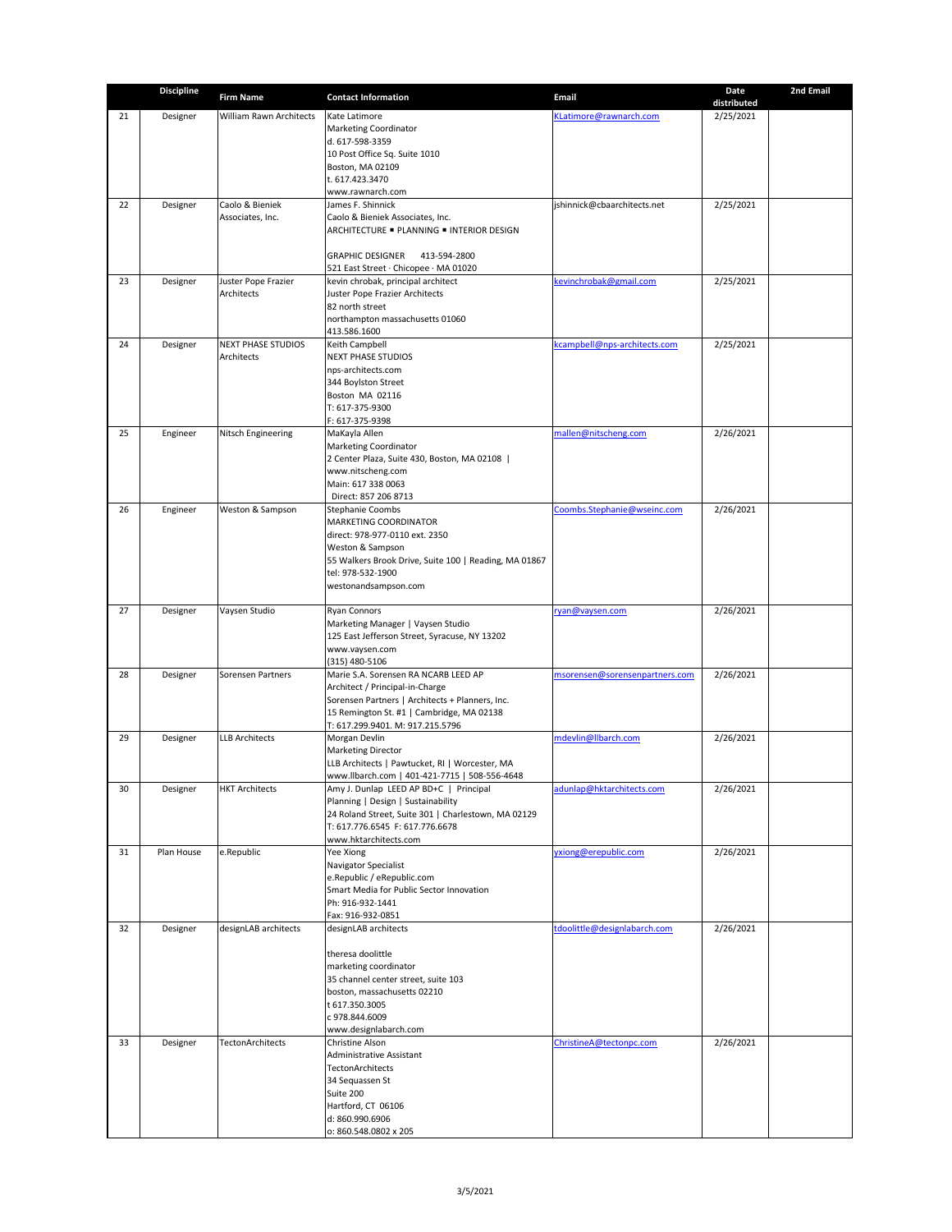|    | <b>Discipline</b> | <b>Firm Name</b>                        | <b>Contact Information</b>                                                              | <b>Email</b>                   | <b>Date</b>              | 2nd Email |
|----|-------------------|-----------------------------------------|-----------------------------------------------------------------------------------------|--------------------------------|--------------------------|-----------|
| 21 | Designer          | <b>William Rawn Architects</b>          | Kate Latimore                                                                           | KLatimore@rawnarch.com         | distributed<br>2/25/2021 |           |
|    |                   |                                         | <b>Marketing Coordinator</b>                                                            |                                |                          |           |
|    |                   |                                         | d. 617-598-3359                                                                         |                                |                          |           |
|    |                   |                                         | 10 Post Office Sq. Suite 1010<br>Boston, MA 02109                                       |                                |                          |           |
|    |                   |                                         | t. 617.423.3470                                                                         |                                |                          |           |
|    |                   |                                         | www.rawnarch.com                                                                        |                                |                          |           |
| 22 | Designer          | Caolo & Bieniek<br>Associates, Inc.     | James F. Shinnick<br>Caolo & Bieniek Associates, Inc.                                   | jshinnick@cbaarchitects.net    | 2/25/2021                |           |
|    |                   |                                         | ARCHITECTURE - PLANNING - INTERIOR DESIGN                                               |                                |                          |           |
|    |                   |                                         |                                                                                         |                                |                          |           |
|    |                   |                                         | <b>GRAPHIC DESIGNER</b><br>413-594-2800<br>521 East Street · Chicopee · MA 01020        |                                |                          |           |
| 23 | Designer          | Juster Pope Frazier                     | kevin chrobak, principal architect                                                      | kevinchrobak@gmail.com         | 2/25/2021                |           |
|    |                   | Architects                              | Juster Pope Frazier Architects<br>82 north street                                       |                                |                          |           |
|    |                   |                                         | northampton massachusetts 01060                                                         |                                |                          |           |
|    |                   |                                         | 413.586.1600                                                                            |                                |                          |           |
| 24 | Designer          | <b>NEXT PHASE STUDIOS</b><br>Architects | Keith Campbell<br><b>NEXT PHASE STUDIOS</b>                                             | kcampbell@nps-architects.com   | 2/25/2021                |           |
|    |                   |                                         | nps-architects.com                                                                      |                                |                          |           |
|    |                   |                                         | 344 Boylston Street                                                                     |                                |                          |           |
|    |                   |                                         | Boston MA 02116<br>T: 617-375-9300                                                      |                                |                          |           |
|    |                   |                                         | F: 617-375-9398                                                                         |                                |                          |           |
| 25 | Engineer          | <b>Nitsch Engineering</b>               | MaKayla Allen                                                                           | mallen@nitscheng.com           | 2/26/2021                |           |
|    |                   |                                         | <b>Marketing Coordinator</b><br>2 Center Plaza, Suite 430, Boston, MA 02108             |                                |                          |           |
|    |                   |                                         | www.nitscheng.com                                                                       |                                |                          |           |
|    |                   |                                         | Main: 617 338 0063                                                                      |                                |                          |           |
| 26 | Engineer          | Weston & Sampson                        | Direct: 857 206 8713<br><b>Stephanie Coombs</b>                                         | Coombs.Stephanie@wseinc.com    | 2/26/2021                |           |
|    |                   |                                         | <b>MARKETING COORDINATOR</b>                                                            |                                |                          |           |
|    |                   |                                         | direct: 978-977-0110 ext. 2350                                                          |                                |                          |           |
|    |                   |                                         | Weston & Sampson<br>55 Walkers Brook Drive, Suite 100   Reading, MA 01867               |                                |                          |           |
|    |                   |                                         | tel: 978-532-1900                                                                       |                                |                          |           |
|    |                   |                                         | westonandsampson.com                                                                    |                                |                          |           |
| 27 | Designer          | Vaysen Studio                           | <b>Ryan Connors</b>                                                                     | ryan@vaysen.com                | 2/26/2021                |           |
|    |                   |                                         | Marketing Manager   Vaysen Studio                                                       |                                |                          |           |
|    |                   |                                         | 125 East Jefferson Street, Syracuse, NY 13202<br>www.vaysen.com                         |                                |                          |           |
|    |                   |                                         | $(315)$ 480-5106                                                                        |                                |                          |           |
| 28 | Designer          | Sorensen Partners                       | Marie S.A. Sorensen RA NCARB LEED AP                                                    | msorensen@sorensenpartners.com | 2/26/2021                |           |
|    |                   |                                         | Architect / Principal-in-Charge<br>Sorensen Partners   Architects + Planners, Inc.      |                                |                          |           |
|    |                   |                                         | 15 Remington St. #1   Cambridge, MA 02138                                               |                                |                          |           |
| 29 | Designer          | <b>LLB Architects</b>                   | T: 617.299.9401. M: 917.215.5796<br>Morgan Devlin                                       | mdevlin@llbarch.com            | 2/26/2021                |           |
|    |                   |                                         | <b>Marketing Director</b>                                                               |                                |                          |           |
|    |                   |                                         | LLB Architects   Pawtucket, RI   Worcester, MA                                          |                                |                          |           |
| 30 | Designer          | <b>HKT Architects</b>                   | www.llbarch.com   401-421-7715   508-556-4648<br>Amy J. Dunlap LEED AP BD+C   Principal | adunlap@hktarchitects.com      | 2/26/2021                |           |
|    |                   |                                         | Planning   Design   Sustainability                                                      |                                |                          |           |
|    |                   |                                         | 24 Roland Street, Suite 301   Charlestown, MA 02129                                     |                                |                          |           |
|    |                   |                                         | T: 617.776.6545 F: 617.776.6678<br>www.hktarchitects.com                                |                                |                          |           |
| 31 | Plan House        | e.Republic                              | Yee Xiong                                                                               | yxiong@erepublic.com           | 2/26/2021                |           |
|    |                   |                                         | <b>Navigator Specialist</b>                                                             |                                |                          |           |
|    |                   |                                         | e.Republic / eRepublic.com<br>Smart Media for Public Sector Innovation                  |                                |                          |           |
|    |                   |                                         | Ph: 916-932-1441                                                                        |                                |                          |           |
| 32 | Designer          | designLAB architects                    | Fax: 916-932-0851<br>designLAB architects                                               | tdoolittle@designlabarch.com   | 2/26/2021                |           |
|    |                   |                                         |                                                                                         |                                |                          |           |
|    |                   |                                         | theresa doolittle                                                                       |                                |                          |           |
|    |                   |                                         | marketing coordinator<br>35 channel center street, suite 103                            |                                |                          |           |
|    |                   |                                         | boston, massachusetts 02210                                                             |                                |                          |           |
|    |                   |                                         | t 617.350.3005                                                                          |                                |                          |           |
|    |                   |                                         | c 978.844.6009<br>www.designlabarch.com                                                 |                                |                          |           |
| 33 | Designer          | <b>TectonArchitects</b>                 | Christine Alson                                                                         | ChristineA@tectonpc.com        | 2/26/2021                |           |
|    |                   |                                         | Administrative Assistant                                                                |                                |                          |           |
|    |                   |                                         | <b>TectonArchitects</b><br>34 Sequassen St                                              |                                |                          |           |
|    |                   |                                         | Suite 200                                                                               |                                |                          |           |
|    |                   |                                         | Hartford, CT 06106                                                                      |                                |                          |           |
|    |                   |                                         | d: 860.990.6906<br>o: 860.548.0802 x 205                                                |                                |                          |           |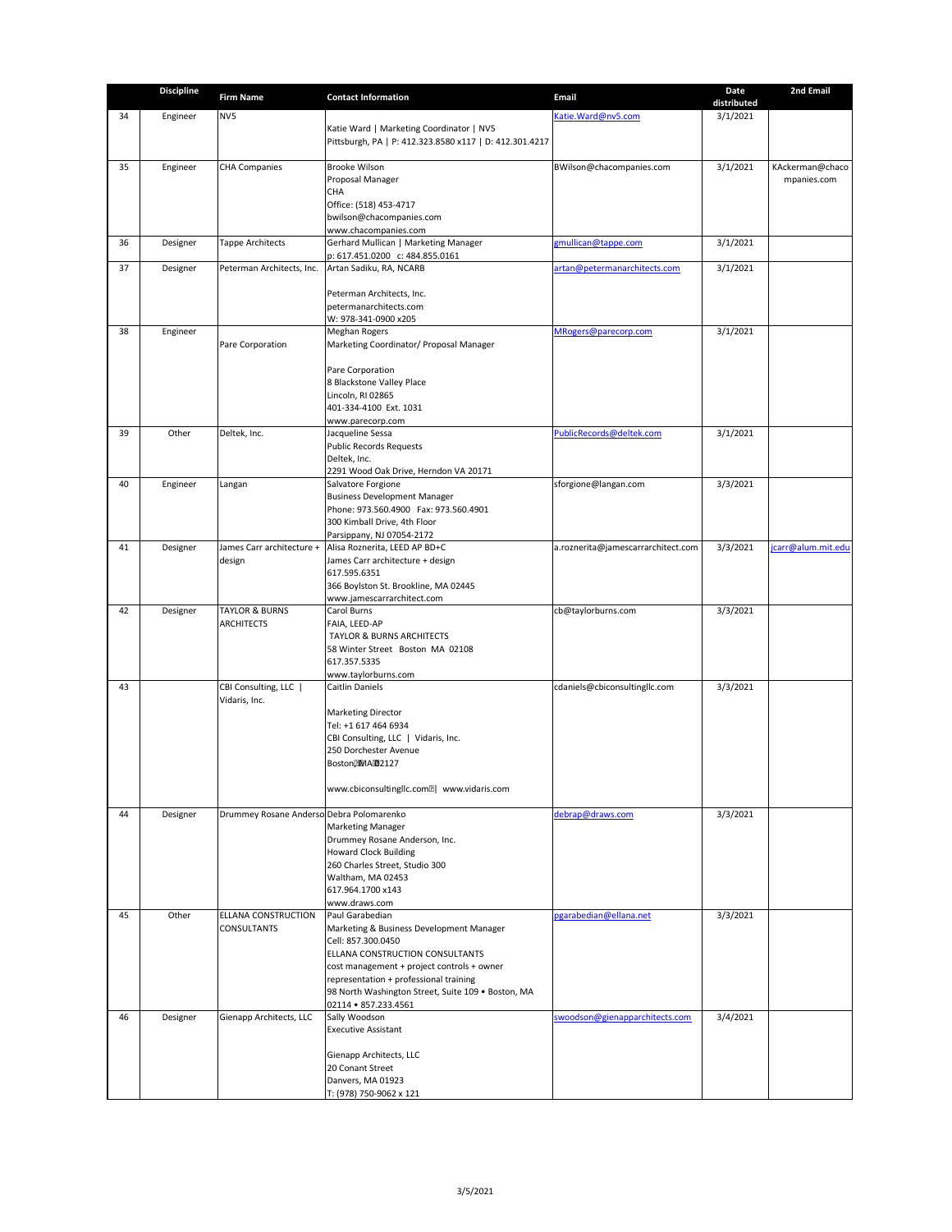|    | <b>Discipline</b> | <b>Firm Name</b>                         | <b>Contact Information</b>                                                           | <b>Email</b>                       | <b>Date</b> | 2nd Email                      |
|----|-------------------|------------------------------------------|--------------------------------------------------------------------------------------|------------------------------------|-------------|--------------------------------|
|    |                   | NV5                                      |                                                                                      |                                    | distributed |                                |
| 34 | Engineer          |                                          | Katie Ward   Marketing Coordinator   NV5                                             | Katie. Ward@nv5.com                | 3/1/2021    |                                |
|    |                   |                                          | Pittsburgh, PA   P: 412.323.8580 x117   D: 412.301.4217                              |                                    |             |                                |
|    |                   |                                          |                                                                                      |                                    |             |                                |
| 35 | Engineer          | <b>CHA Companies</b>                     | <b>Brooke Wilson</b><br>Proposal Manager                                             | BWilson@chacompanies.com           | 3/1/2021    | KAckerman@chaco<br>mpanies.com |
|    |                   |                                          | <b>CHA</b>                                                                           |                                    |             |                                |
|    |                   |                                          | Office: (518) 453-4717                                                               |                                    |             |                                |
|    |                   |                                          | bwilson@chacompanies.com                                                             |                                    |             |                                |
| 36 | Designer          | <b>Tappe Architects</b>                  | www.chacompanies.com<br><b>Gerhard Mullican   Marketing Manager</b>                  | gmullican@tappe.com                | 3/1/2021    |                                |
|    |                   |                                          | p: 617.451.0200 c: 484.855.0161                                                      |                                    |             |                                |
| 37 | Designer          | Peterman Architects, Inc.                | Artan Sadiku, RA, NCARB                                                              | artan@petermanarchitects.com       | 3/1/2021    |                                |
|    |                   |                                          |                                                                                      |                                    |             |                                |
|    |                   |                                          | Peterman Architects, Inc.<br>petermanarchitects.com                                  |                                    |             |                                |
|    |                   |                                          | W: 978-341-0900 x205                                                                 |                                    |             |                                |
| 38 | Engineer          |                                          | <b>Meghan Rogers</b>                                                                 | MRogers@parecorp.com               | 3/1/2021    |                                |
|    |                   | Pare Corporation                         | Marketing Coordinator/ Proposal Manager                                              |                                    |             |                                |
|    |                   |                                          | Pare Corporation                                                                     |                                    |             |                                |
|    |                   |                                          | 8 Blackstone Valley Place                                                            |                                    |             |                                |
|    |                   |                                          | Lincoln, RI 02865                                                                    |                                    |             |                                |
|    |                   |                                          | 401-334-4100 Ext. 1031                                                               |                                    |             |                                |
| 39 | Other             | Deltek, Inc.                             | www.parecorp.com<br>Jacqueline Sessa                                                 | PublicRecords@deltek.com           | 3/1/2021    |                                |
|    |                   |                                          | Public Records Requests                                                              |                                    |             |                                |
|    |                   |                                          | Deltek, Inc.                                                                         |                                    |             |                                |
| 40 | Engineer          | Langan                                   | 2291 Wood Oak Drive, Herndon VA 20171<br>Salvatore Forgione                          | sforgione@langan.com               | 3/3/2021    |                                |
|    |                   |                                          | <b>Business Development Manager</b>                                                  |                                    |             |                                |
|    |                   |                                          | Phone: 973.560.4900 Fax: 973.560.4901                                                |                                    |             |                                |
|    |                   |                                          | 300 Kimball Drive, 4th Floor                                                         |                                    |             |                                |
| 41 | Designer          | James Carr architecture +                | Parsippany, NJ 07054-2172<br>Alisa Roznerita, LEED AP BD+C                           | a.roznerita@jamescarrarchitect.com | 3/3/2021    | jcarr@alum.mit.edu             |
|    |                   | design                                   | James Carr architecture + design                                                     |                                    |             |                                |
|    |                   |                                          | 617.595.6351                                                                         |                                    |             |                                |
|    |                   |                                          | 366 Boylston St. Brookline, MA 02445                                                 |                                    |             |                                |
| 42 | Designer          | <b>TAYLOR &amp; BURNS</b>                | www.jamescarrarchitect.com<br><b>Carol Burns</b>                                     | cb@taylorburns.com                 | 3/3/2021    |                                |
|    |                   | <b>ARCHITECTS</b>                        | FAIA, LEED-AP                                                                        |                                    |             |                                |
|    |                   |                                          | <b>TAYLOR &amp; BURNS ARCHITECTS</b>                                                 |                                    |             |                                |
|    |                   |                                          | 58 Winter Street Boston MA 02108                                                     |                                    |             |                                |
|    |                   |                                          | 617.357.5335<br>www.taylorburns.com                                                  |                                    |             |                                |
| 43 |                   | CBI Consulting, LLC                      | <b>Caitlin Daniels</b>                                                               | cdaniels@cbiconsultingllc.com      | 3/3/2021    |                                |
|    |                   | Vidaris, Inc.                            |                                                                                      |                                    |             |                                |
|    |                   |                                          | <b>Marketing Director</b><br>Tel: +1 617 464 6934                                    |                                    |             |                                |
|    |                   |                                          | CBI Consulting, LLC   Vidaris, Inc.                                                  |                                    |             |                                |
|    |                   |                                          | 250 Dorchester Avenue                                                                |                                    |             |                                |
|    |                   |                                          | Boston <b>IMA 32127</b>                                                              |                                    |             |                                |
|    |                   |                                          | www.cbiconsultingllc.com <sup>[2]</sup> www.vidaris.com                              |                                    |             |                                |
|    |                   |                                          |                                                                                      |                                    |             |                                |
| 44 | Designer          | Drummey Rosane Anderso Debra Polomarenko |                                                                                      | debrap@draws.com                   | 3/3/2021    |                                |
|    |                   |                                          | <b>Marketing Manager</b>                                                             |                                    |             |                                |
|    |                   |                                          | Drummey Rosane Anderson, Inc.<br><b>Howard Clock Building</b>                        |                                    |             |                                |
|    |                   |                                          | 260 Charles Street, Studio 300                                                       |                                    |             |                                |
|    |                   |                                          | Waltham, MA 02453                                                                    |                                    |             |                                |
|    |                   |                                          | 617.964.1700 x143                                                                    |                                    |             |                                |
| 45 | Other             | <b>ELLANA CONSTRUCTION</b>               | www.draws.com<br>Paul Garabedian                                                     | pgarabedian@ellana.net             | 3/3/2021    |                                |
|    |                   | <b>CONSULTANTS</b>                       | Marketing & Business Development Manager                                             |                                    |             |                                |
|    |                   |                                          | Cell: 857.300.0450                                                                   |                                    |             |                                |
|    |                   |                                          | <b>ELLANA CONSTRUCTION CONSULTANTS</b>                                               |                                    |             |                                |
|    |                   |                                          | cost management + project controls + owner<br>representation + professional training |                                    |             |                                |
|    |                   |                                          | 98 North Washington Street, Suite 109 . Boston, MA                                   |                                    |             |                                |
|    |                   |                                          | 02114 • 857.233.4561                                                                 |                                    |             |                                |
| 46 | Designer          | Gienapp Architects, LLC                  | Sally Woodson                                                                        | swoodson@gienapparchitects.com     | 3/4/2021    |                                |
|    |                   |                                          | <b>Executive Assistant</b>                                                           |                                    |             |                                |
|    |                   |                                          | Gienapp Architects, LLC                                                              |                                    |             |                                |
|    |                   |                                          | 20 Conant Street                                                                     |                                    |             |                                |
|    |                   |                                          | Danvers, MA 01923                                                                    |                                    |             |                                |
|    |                   |                                          | T: (978) 750-9062 x 121                                                              |                                    |             |                                |